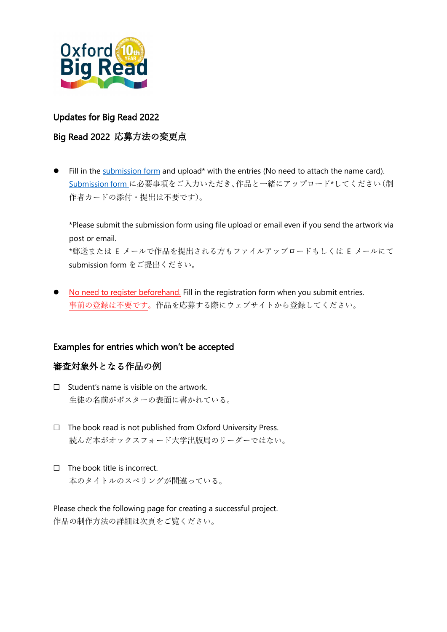

#### Updates for Big Read 2022

#### Big Read 2022 応募方法の変更点

Fill in the [submission form](https://www.oupjapan.co.jp/sites/default/files/contents/campaigns/bigread/2022/BigRead2022_Submission_Form.xlsx) and upload\* with the entries (No need to attach the name card). [Submission form](https://www.oupjapan.co.jp/sites/default/files/contents/campaigns/bigread/2022/BigRead2022_Submission_Form.xlsx) に必要事項をご入力いただき、作品と一緒にアップロード\*してください(制 作者カードの添付・提出は不要です)。

\*Please submit the submission form using file upload or email even if you send the artwork via post or email. \*郵送または E メールで作品を提出される方もファイルアップロードもしくは E メールにて submission form をご提出ください。

• No need to register beforehand. Fill in the registration form when you submit entries. 事前の登録は不要です。作品を応募する際にウェブサイトから登録してください。

#### Examples for entries which won't be accepted

#### 審査対象外となる作品の例

- $\Box$  Student's name is visible on the artwork. 生徒の名前がポスターの表面に書かれている。
- ☐ The book read is not published from Oxford University Press. 読んだ本がオックスフォード大学出版局のリーダーではない。
- ☐ The book title is incorrect. 本のタイトルのスペリングが間違っている。

Please check the following page for creating a successful project. 作品の制作方法の詳細は次頁をご覧ください。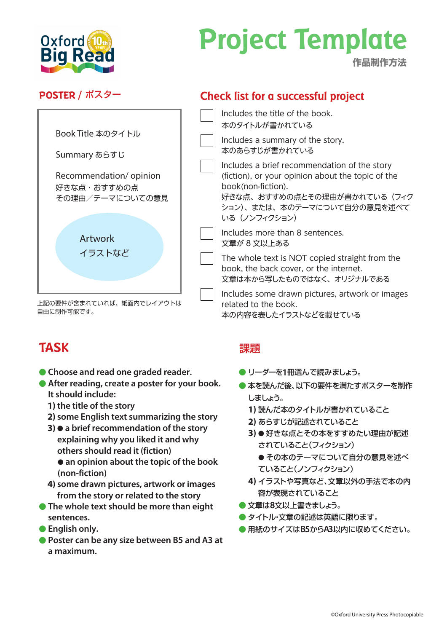

## **Project Template**

**作品制作方法**

#### **POSTER /** ポスター



上記の要件が含まれていれば、紙面内でレイアウトは 自由に制作可能です。

### **TASK**

- **Choose and read one graded reader.**
- **After reading, create a poster for your book. It should include:**
	- **1) the title of the story**
	- **2) some English text summarizing the story**
	- **3)**  $\bullet$  a brief recommendation of the story **explaining why you liked it and why others should read it (fiction)**
		- $\bullet$  **an opinion about the topic of the book (non-fiction)**
	- **4) some drawn pictures, artwork or images from the story or related to the story**
- **The whole text should be more than eight sentences.**
- **English only.**
- **Poster can be any size between B5 and A3 at a maximum.**

### **Check list for a successful project**

- Includes the title of the book. 本のタイトルが書かれている
- Includes a summary of the story. 本のあらすじが書かれている
- Includes a brief recommendation of the story (fiction), or your opinion about the topic of the book(non-fiction).
	- 好きな点、おすすめの点とその理由が書かれている(フィク ション)、または、本のテーマについて自分の意見を述べて いる (ノンフィクション)
- Includes more than 8 sentences. 文章が 8 文以上ある
- The whole text is NOT copied straight from the book, the back cover, or the internet. 文章は本から写したものではなく、オリジナルである
- Includes some drawn pictures, artwork or images related to the book. 本の内容を表したイラストなどを載せている

#### 課題

- **リーダーを1冊選んで読みましょう。**
- 本を読んだ後、以下の要件を満たすポスターを制作 しましょう。
	- **1)** 読んだ本のタイトルが書かれていること
	- **2)** あらすじが記述されていること
	- 3) 好きな点とその本をすすめたい理由が記述 されていること(フィクション)
		- その本のテーマについて自分の意見を述べ ていること(ノンフィクション)
	- **4)** イラストや写真など、文章以外の手法で本の内 容が表現されていること
- 文章は**8**文以上書きましょう。
- タイトル・文章の記述は英語に限ります。
- 用紙のサイズは**B5**から**A3**以内に収めてください。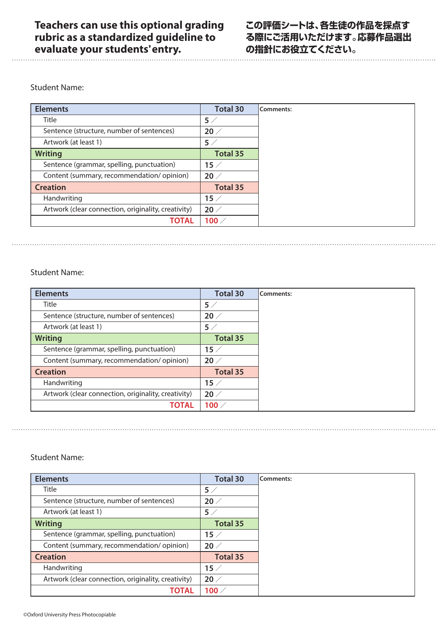#### Student Name:

| <b>Elements</b>                                     | <b>Total 30</b> |
|-----------------------------------------------------|-----------------|
| <b>Title</b>                                        | 5/              |
| Sentence (structure, number of sentences)           | $20 \angle$     |
| Artwork (at least 1)                                | 5/              |
| <b>Writing</b>                                      | <b>Total 35</b> |
| Sentence (grammar, spelling, punctuation)           | $15 \angle$     |
| Content (summary, recommendation/opinion)           | $20 \angle$     |
| <b>Creation</b>                                     | <b>Total 35</b> |
| Handwriting                                         | $15 \angle$     |
| Artwork (clear connection, originality, creativity) | $20 \angle$     |
| <b>TOTAL</b>                                        | 100 $\times$    |

#### Student Name:

| <b>Elements</b>                                     | <b>Total 30</b> | Comments: |
|-----------------------------------------------------|-----------------|-----------|
| Title                                               | 5/              |           |
| Sentence (structure, number of sentences)           | 20/             |           |
| Artwork (at least 1)                                | 5/              |           |
| <b>Writing</b>                                      | <b>Total 35</b> |           |
| Sentence (grammar, spelling, punctuation)           | $15 \angle$     |           |
| Content (summary, recommendation/opinion)           | $20 \; /$       |           |
| <b>Creation</b>                                     | <b>Total 35</b> |           |
| Handwriting                                         | $15 \; /$       |           |
| Artwork (clear connection, originality, creativity) | $20 \angle$     |           |
| TOTAL                                               | 100 $\times$    |           |

#### Student Name:

| <b>Elements</b>                                     | <b>Total 30</b> | Comments: |
|-----------------------------------------------------|-----------------|-----------|
| <b>Title</b>                                        | $5\angle$       |           |
| Sentence (structure, number of sentences)           | $20 \angle$     |           |
| Artwork (at least 1)                                | 5/              |           |
| <b>Writing</b>                                      | <b>Total 35</b> |           |
| Sentence (grammar, spelling, punctuation)           | $15 \angle$     |           |
| Content (summary, recommendation/opinion)           | $20 \angle$     |           |
| <b>Creation</b>                                     | <b>Total 35</b> |           |
| Handwriting                                         | 15/             |           |
| Artwork (clear connection, originality, creativity) | $20 \angle$     |           |
| ΤΟΤΑL                                               | 100 $\angle$    |           |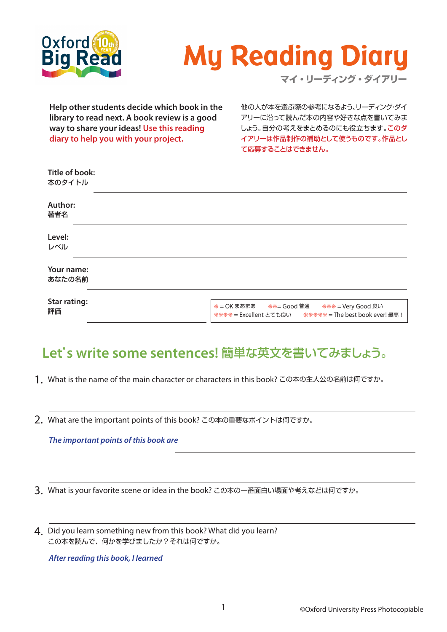

# **My Reading Diary**

**マイ・リーディング・ダイアリー**

**Help other students decide which book in the library to read next. A book review is a good way to share your ideas! Use this reading diary to help you with your project.**

他の人が本を選ぶ際の参考になるよう、リーディング・ダイ アリーに沿って読んだ本の内容や好きな点を書いてみま しょう。自分の考えをまとめるのにも役立ちます。このダ イアリーは作品制作の補助として使うものです。作品とし て応募することはできません。

| Title of book:<br>本のタイトル  |                                                                                                                              |
|---------------------------|------------------------------------------------------------------------------------------------------------------------------|
| <b>Author:</b><br>著者名     |                                                                                                                              |
| Level:<br>レベル             |                                                                                                                              |
| Your name:<br>あなたの名前      |                                                                                                                              |
| <b>Star rating:</b><br>評価 | <b>*= OK まあまあ **= Good 普通</b><br><del>***</del> = Very Good 良い<br>**** = Excellent とても良い   ****** = The best book ever! 最高 ! |

## **Let**'**s write some sentences!** 簡単な英文を書いてみましょう。

- What is the name of the main character or characters in this book? この本の主人公の名前は何ですか。 1.
- What are the important points of this book? この本の重要なポイントは何ですか。 2.

*The important points of this book are*

What is your favorite scene or idea in the book? この本の一番面白い場面や考えなどは何ですか。 3.

4. Did you learn something new from this book? What did you learn? この本を読んで、何かを学びましたか?それは何ですか。

*After reading this book, I learned*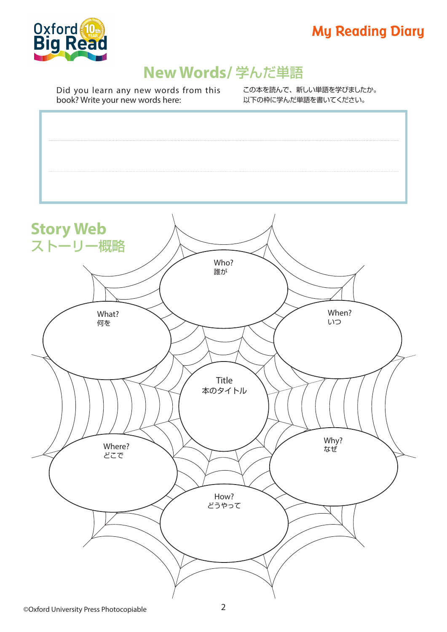



## **New Words/** 学んだ単語

Did you learn any new words from this book? Write your new words here:

この本を読んで、新しい単語を学びましたか。 以下の枠に学んだ単語を書いてください。

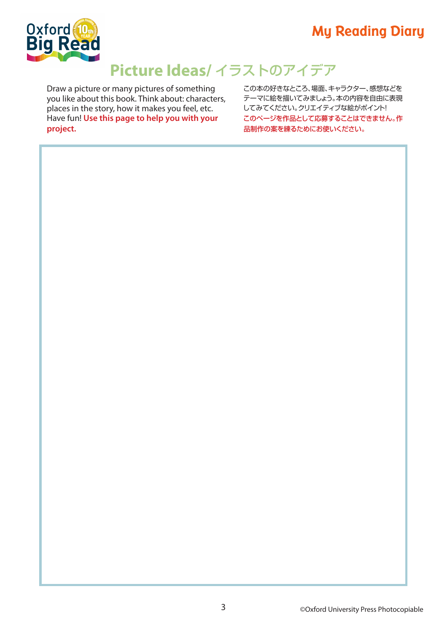## **My Reading Diary**



## **Picture Ideas/** イラストのアイデア

Draw a picture or many pictures of something you like about this book. Think about: characters, places in the story, how it makes you feel, etc. Have fun! **Use this page to help you with your project.**

この本の好きなところ、場面、キャラクター、感想などを テーマに絵を描いてみましょう。本の内容を自由に表現 してみてください。クリエイティブな絵がポイント! このページを作品として応募することはできません。作 品制作の案を練るためにお使いください。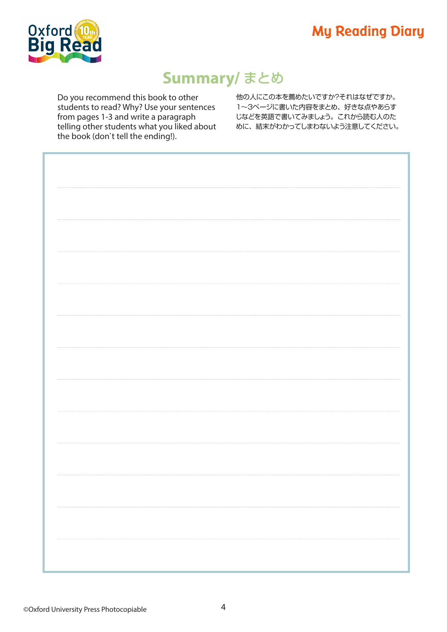## **My Reading Diary**



## **Summary/** まとめ

Do you recommend this book to other students to read? Why? Use your sentences from pages 1-3 and write a paragraph telling other students what you liked about the book (don't tell the ending!).

他の人にこの本を薦めたいですか?それはなぜですか。 1~3ページに書いた内容をまとめ、好きな点やあらす じなどを英語で書いてみましょう。これから読む人のた めに、結末がわかってしまわないよう注意してください。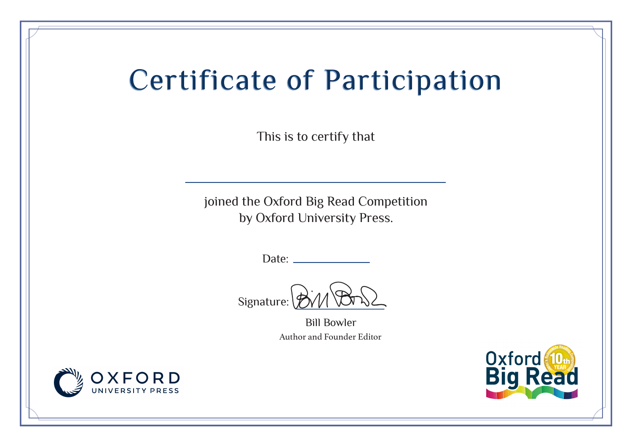## Certificate of Participation Certificate of Participation

This is to certify that

joined the Oxford Big Read Competition by Oxford University Press.

Date:

Signature:

Bill Bowler Author and Founder Editor



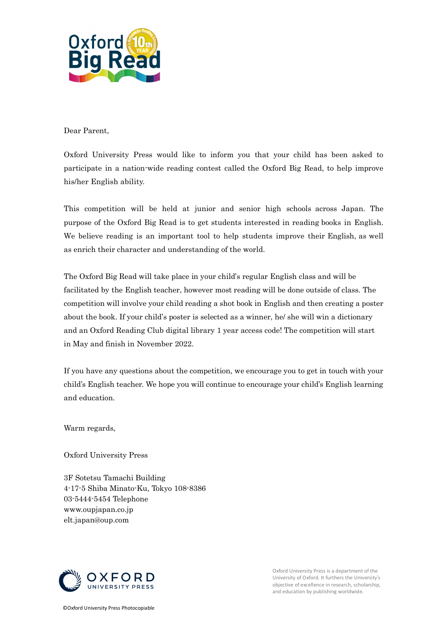

#### Dear Parent,

Oxford University Press would like to inform you that your child has been asked to participate in a nation-wide reading contest called the Oxford Big Read, to help improve his/her English ability.

This competition will be held at junior and senior high schools across Japan. The purpose of the Oxford Big Read is to get students interested in reading books in English. We believe reading is an important tool to help students improve their English, as well as enrich their character and understanding of the world.

The Oxford Big Read will take place in your child's regular English class and will be facilitated by the English teacher, however most reading will be done outside of class. The competition will involve your child reading a shot book in English and then creating a poster about the book. If your child's poster is selected as a winner, he/ she will win a dictionary and an Oxford Reading Club digital library 1 year access code! The competition will start in May and finish in November 2022.

If you have any questions about the competition, we encourage you to get in touch with your child's English teacher. We hope you will continue to encourage your child's English learning and education.

Warm regards,

Oxford University Press

3F Sotetsu Tamachi Building 4-17-5 Shiba Minato-Ku, Tokyo 108-8386 03-5444-5454 Telephone www.oupjapan.co.jp elt.japan@oup.com



Oxford University Press is a department of the University of Oxford. It furthers the University's objective of excellence in research, scholarship, and education by publishing worldwide.

©Oxford University Press Photocopiable